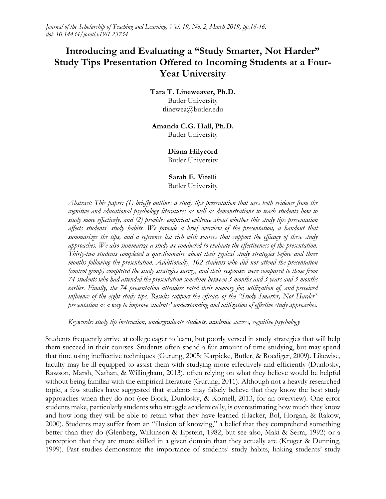*Journal of the Scholarship of Teaching and Learning, Vol. 19, No. 2, March 2019, pp.16-46. doi: 10.14434/josotl.v19i1.23734* 

# **Introducing and Evaluating a "Study Smarter, Not Harder" Study Tips Presentation Offered to Incoming Students at a Four-Year University**

#### **Tara T. Lineweaver, Ph.D.** Butler University tlinewea@butler.edu

## **Amanda C.G. Hall, Ph.D.**

Butler University

#### **Diana Hilycord**

Butler University

#### **Sarah E. Vitelli**  Butler University

*Abstract: This paper: (1) briefly outlines a study tips presentation that uses both evidence from the cognitive and educational psychology literatures as well as demonstrations to teach students how to study more effectively, and (2) provides empirical evidence about whether this study tips presentation affects students' study habits. We provide a brief overview of the presentation, a handout that summarizes the tips, and a reference list rich with sources that support the efficacy of these study approaches. We also summarize a study we conducted to evaluate the effectiveness of the presentation. Thirty-two students completed a questionnaire about their typical study strategies before and three months following the presentation. Additionally, 102 students who did not attend the presentation (control group) completed the study strategies survey, and their responses were compared to those from 74 students who had attended the presentation sometime between 3 months and 3 years and 3 months earlier. Finally, the 74 presentation attendees rated their memory for, utilization of, and perceived influence of the eight study tips. Results support the efficacy of the "Study Smarter, Not Harder" presentation as a way to improve students' understanding and utilization of effective study approaches.*

*Keywords: study tip instruction, undergraduate students, academic success, cognitive psychology*

Students frequently arrive at college eager to learn, but poorly versed in study strategies that will help them succeed in their courses. Students often spend a fair amount of time studying, but may spend that time using ineffective techniques (Gurung, 2005; Karpicke, Butler, & Roediger, 2009). Likewise, faculty may be ill-equipped to assist them with studying more effectively and efficiently (Dunlosky, Rawson, Marsh, Nathan, & Willingham, 2013), often relying on what they believe would be helpful without being familiar with the empirical literature (Gurung, 2011). Although not a heavily researched topic, a few studies have suggested that students may falsely believe that they know the best study approaches when they do not (see Bjork, Dunlosky, & Kornell, 2013, for an overview). One error students make, particularly students who struggle academically, is overestimating how much they know and how long they will be able to retain what they have learned (Hacker, Bol, Horgan, & Rakow, 2000). Students may suffer from an "illusion of knowing," a belief that they comprehend something better than they do (Glenberg, Wilkinson & Epstein, 1982; but see also, Maki & Serra, 1992) or a perception that they are more skilled in a given domain than they actually are (Kruger & Dunning, 1999). Past studies demonstrate the importance of students' study habits, linking students' study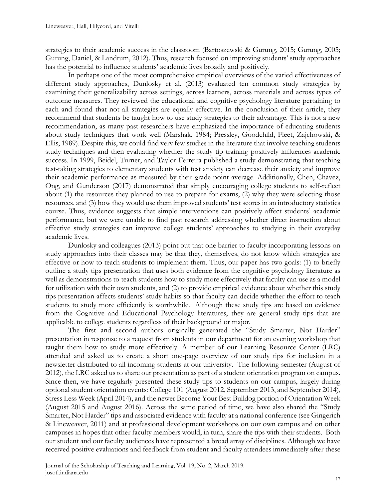strategies to their academic success in the classroom (Bartoszewski & Gurung, 2015; Gurung, 2005; Gurung, Daniel, & Landrum, 2012). Thus, research focused on improving students' study approaches has the potential to influence students' academic lives broadly and positively.

In perhaps one of the most comprehensive empirical overviews of the varied effectiveness of different study approaches, Dunlosky et al. (2013) evaluated ten common study strategies by examining their generalizability across settings, across learners, across materials and across types of outcome measures. They reviewed the educational and cognitive psychology literature pertaining to each and found that not all strategies are equally effective. In the conclusion of their article, they recommend that students be taught how to use study strategies to their advantage. This is not a new recommendation, as many past researchers have emphasized the importance of educating students about study techniques that work well (Marshak, 1984; Pressley, Goodchild, Fleet, Zajchowski, & Ellis, 1989). Despite this, we could find very few studies in the literature that involve teaching students study techniques and then evaluating whether the study tip training positively influences academic success. In 1999, Beidel, Turner, and Taylor-Ferreira published a study demonstrating that teaching test-taking strategies to elementary students with test anxiety can decrease their anxiety and improve their academic performance as measured by their grade point average. Additionally, Chen, Chavez, Ong, and Gunderson (2017) demonstrated that simply encouraging college students to self-reflect about (1) the resources they planned to use to prepare for exams, (2) why they were selecting those resources, and (3) how they would use them improved students' test scores in an introductory statistics course. Thus, evidence suggests that simple interventions can positively affect students' academic performance, but we were unable to find past research addressing whether direct instruction about effective study strategies can improve college students' approaches to studying in their everyday academic lives.

Dunlosky and colleagues (2013) point out that one barrier to faculty incorporating lessons on study approaches into their classes may be that they, themselves, do not know which strategies are effective or how to teach students to implement them. Thus, our paper has two goals: (1) to briefly outline a study tips presentation that uses both evidence from the cognitive psychology literature as well as demonstrations to teach students how to study more effectively that faculty can use as a model for utilization with their own students, and (2) to provide empirical evidence about whether this study tips presentation affects students' study habits so that faculty can decide whether the effort to teach students to study more efficiently is worthwhile. Although these study tips are based on evidence from the Cognitive and Educational Psychology literatures, they are general study tips that are applicable to college students regardless of their background or major.

The first and second authors originally generated the "Study Smarter, Not Harder" presentation in response to a request from students in our department for an evening workshop that taught them how to study more effectively. A member of our Learning Resource Center (LRC) attended and asked us to create a short one-page overview of our study tips for inclusion in a newsletter distributed to all incoming students at our university. The following semester (August of 2012), the LRC asked us to share our presentation as part of a student orientation program on campus. Since then, we have regularly presented these study tips to students on our campus, largely during optional student orientation events: College 101 (August 2012, September 2013, and September 2014), Stress Less Week (April 2014), and the newer Become Your Best Bulldog portion of Orientation Week (August 2015 and August 2016). Across the same period of time, we have also shared the "Study Smarter, Not Harder" tips and associated evidence with faculty at a national conference (see Gingerich & Lineweaver, 2011) and at professional development workshops on our own campus and on other campuses in hopes that other faculty members would, in turn, share the tips with their students. Both our student and our faculty audiences have represented a broad array of disciplines. Although we have received positive evaluations and feedback from student and faculty attendees immediately after these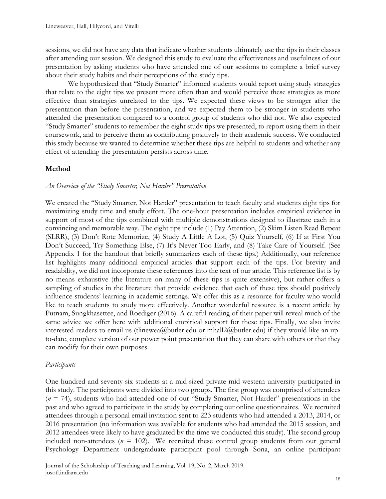sessions, we did not have any data that indicate whether students ultimately use the tips in their classes after attending our session. We designed this study to evaluate the effectiveness and usefulness of our presentation by asking students who have attended one of our sessions to complete a brief survey about their study habits and their perceptions of the study tips.

 We hypothesized that "Study Smarter" informed students would report using study strategies that relate to the eight tips we present more often than and would perceive these strategies as more effective than strategies unrelated to the tips. We expected these views to be stronger after the presentation than before the presentation, and we expected them to be stronger in students who attended the presentation compared to a control group of students who did not. We also expected "Study Smarter" students to remember the eight study tips we presented, to report using them in their coursework, and to perceive them as contributing positively to their academic success. We conducted this study because we wanted to determine whether these tips are helpful to students and whether any effect of attending the presentation persists across time.

### **Method**

#### *An Overview of the "Study Smarter, Not Harder" Presentation*

We created the "Study Smarter, Not Harder" presentation to teach faculty and students eight tips for maximizing study time and study effort. The one-hour presentation includes empirical evidence in support of most of the tips combined with multiple demonstrations designed to illustrate each in a convincing and memorable way. The eight tips include (1) Pay Attention, (2) Skim Listen Read Repeat (SLRR), (3) Don't Rote Memorize, (4) Study A Little A Lot, (5) Quiz Yourself, (6) If at First You Don't Succeed, Try Something Else, (7) It's Never Too Early, and (8) Take Care of Yourself. (See Appendix 1 for the handout that briefly summarizes each of these tips.) Additionally, our reference list highlights many additional empirical articles that support each of the tips. For brevity and readability, we did not incorporate these references into the text of our article. This reference list is by no means exhaustive (the literature on many of these tips is quite extensive), but rather offers a sampling of studies in the literature that provide evidence that each of these tips should positively influence students' learning in academic settings. We offer this as a resource for faculty who would like to teach students to study more effectively. Another wonderful resource is a recent article by Putnam, Sungkhasettee, and Roediger (2016). A careful reading of their paper will reveal much of the same advice we offer here with additional empirical support for these tips. Finally, we also invite interested readers to email us (tlinewea@butler.edu or mhall2@butler.edu) if they would like an upto-date, complete version of our power point presentation that they can share with others or that they can modify for their own purposes.

### *Participants*

One hundred and seventy-six students at a mid-sized private mid-western university participated in this study. The participants were divided into two groups. The first group was comprised of attendees (*n* = 74), students who had attended one of our "Study Smarter, Not Harder" presentations in the past and who agreed to participate in the study by completing our online questionnaires. We recruited attendees through a personal email invitation sent to 223 students who had attended a 2013, 2014, or 2016 presentation (no information was available for students who had attended the 2015 session, and 2012 attendees were likely to have graduated by the time we conducted this study). The second group included non-attendees ( $n = 102$ ). We recruited these control group students from our general Psychology Department undergraduate participant pool through Sona, an online participant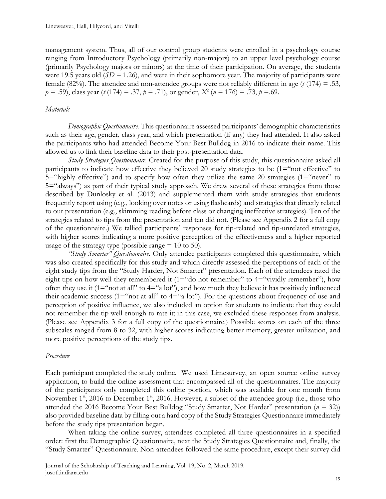management system. Thus, all of our control group students were enrolled in a psychology course ranging from Introductory Psychology (primarily non-majors) to an upper level psychology course (primarily Psychology majors or minors) at the time of their participation. On average, the students were 19.5 years old  $(SD = 1.26)$ , and were in their sophomore year. The majority of participants were female (82%). The attendee and non-attendee groups were not reliably different in age (*t* (174) = .53, *p* = .59), class year (*t* (174) = .37, *p* = .71), or gender, *X*<sup>2</sup> (*n* = 176) = .73, *p* =.69.

#### *Materials*

*Demographic Questionnaire.* This questionnaire assessed participants' demographic characteristics such as their age, gender, class year, and which presentation (if any) they had attended. It also asked the participants who had attended Become Your Best Bulldog in 2016 to indicate their name. This allowed us to link their baseline data to their post-presentation data.

*Study Strategies Questionnaire.* Created for the purpose of this study, this questionnaire asked all participants to indicate how effective they believed 20 study strategies to be (1="not effective" to 5="highly effective") and to specify how often they utilize the same 20 strategies (1="never" to 5="always") as part of their typical study approach. We drew several of these strategies from those described by Dunlosky et al. (2013) and supplemented them with study strategies that students frequently report using (e.g., looking over notes or using flashcards) and strategies that directly related to our presentation (e.g., skimming reading before class or changing ineffective strategies). Ten of the strategies related to tips from the presentation and ten did not. (Please see Appendix 2 for a full copy of the questionnaire.) We tallied participants' responses for tip-related and tip-unrelated strategies, with higher scores indicating a more positive perception of the effectiveness and a higher reported usage of the strategy type (possible range  $= 10$  to 50).

*"Study Smarter" Questionnaire.* Only attendee participants completed this questionnaire, which was also created specifically for this study and which directly assessed the perceptions of each of the eight study tips from the "Study Harder, Not Smarter" presentation. Each of the attendees rated the eight tips on how well they remembered it (1="do not remember" to  $4="width-1"$  vividly remember"), how often they use it ( $1 =$ "not at all" to  $4 =$ "a lot"), and how much they believe it has positively influenced their academic success (1="not at all" to  $4=$ "a lot"). For the questions about frequency of use and perception of positive influence, we also included an option for students to indicate that they could not remember the tip well enough to rate it; in this case, we excluded these responses from analysis. (Please see Appendix 3 for a full copy of the questionnaire.) Possible scores on each of the three subscales ranged from 8 to 32, with higher scores indicating better memory, greater utilization, and more positive perceptions of the study tips.

#### *Procedure*

Each participant completed the study online. We used Limesurvey, an open source online survey application, to build the online assessment that encompassed all of the questionnaires. The majority of the participants only completed this online portion, which was available for one month from November 1<sup>st</sup>, 2016 to December 1<sup>st</sup>, 2016. However, a subset of the attendee group (i.e., those who attended the 2016 Become Your Best Bulldog "Study Smarter, Not Harder" presentation (*n* = 32)) also provided baseline data by filling out a hard copy of the Study Strategies Questionnaire immediately before the study tips presentation began.

When taking the online survey, attendees completed all three questionnaires in a specified order: first the Demographic Questionnaire, next the Study Strategies Questionnaire and, finally, the "Study Smarter" Questionnaire. Non-attendees followed the same procedure, except their survey did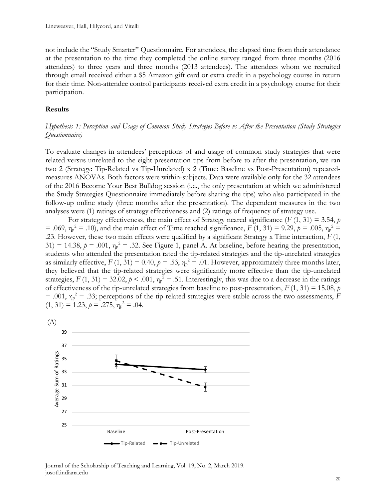not include the "Study Smarter" Questionnaire. For attendees, the elapsed time from their attendance at the presentation to the time they completed the online survey ranged from three months (2016 attendees) to three years and three months (2013 attendees). The attendees whom we recruited through email received either a \$5 Amazon gift card or extra credit in a psychology course in return for their time. Non-attendee control participants received extra credit in a psychology course for their participation.

#### **Results**

#### *Hypothesis 1: Perception and Usage of Common Study Strategies Before vs After the Presentation (Study Strategies Questionnaire)*

To evaluate changes in attendees' perceptions of and usage of common study strategies that were related versus unrelated to the eight presentation tips from before to after the presentation, we ran two 2 (Strategy: Tip-Related vs Tip-Unrelated) x 2 (Time: Baseline vs Post-Presentation) repeatedmeasures ANOVAs. Both factors were within-subjects. Data were available only for the 32 attendees of the 2016 Become Your Best Bulldog session (i.e., the only presentation at which we administered the Study Strategies Questionnaire immediately before sharing the tips) who also participated in the follow-up online study (three months after the presentation). The dependent measures in the two analyses were (1) ratings of strategy effectiveness and (2) ratings of frequency of strategy use.

For strategy effectiveness, the main effect of Strategy neared significance  $(F(1, 31) = 3.54, p$ = .069,  $η<sub>p</sub><sup>2</sup>$  = .10), and the main effect of Time reached significance, *F* (1, 31) = 9.29, *p* = .005,  $η<sub>p</sub><sup>2</sup>$  = .23. However, these two main effects were qualified by a significant Strategy x Time interaction, *F* (1, 31) = 14.38,  $p = .001$ ,  $\eta_p^2 = .32$ . See Figure 1, panel A. At baseline, before hearing the presentation, students who attended the presentation rated the tip-related strategies and the tip-unrelated strategies as similarly effective,  $F(1, 31) = 0.40$ ,  $p = .53$ ,  $\eta_p^2 = .01$ . However, approximately three months later, they believed that the tip-related strategies were significantly more effective than the tip-unrelated strategies,  $F(1, 31) = 32.02$ ,  $p < .001$ ,  $\eta_p^2 = .51$ . Interestingly, this was due to a decrease in the ratings of effectiveness of the tip-unrelated strategies from baseline to post-presentation,  $F(1, 31) = 15.08$ , *p*  $= .001$ ,  $\eta_p^2 = .33$ ; perceptions of the tip-related strategies were stable across the two assessments, *F*  $(1, 31) = 1.23, p = .275, \eta_p^2 = .04.$ 



Journal of the Scholarship of Teaching and Learning, Vol. 19, No. 2, March 2019. josotl.indiana.edu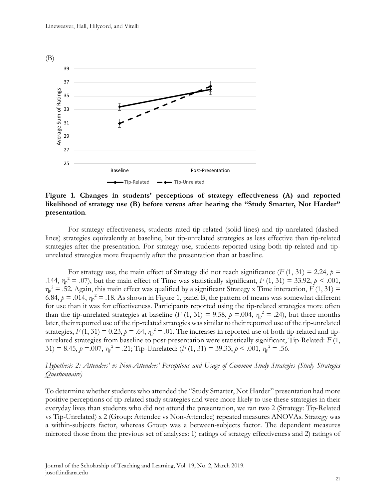

**Figure 1. Changes in students' perceptions of strategy effectiveness (A) and reported likelihood of strategy use (B) before versus after hearing the "Study Smarter, Not Harder" presentation**.

For strategy effectiveness, students rated tip-related (solid lines) and tip-unrelated (dashedlines) strategies equivalently at baseline, but tip-unrelated strategies as less effective than tip-related strategies after the presentation. For strategy use, students reported using both tip-related and tipunrelated strategies more frequently after the presentation than at baseline.

For strategy use, the main effect of Strategy did not reach significance  $(F(1, 31) = 2.24, p =$ .144,  $\eta_p^2 = .07$ ), but the main effect of Time was statistically significant,  $F(1, 31) = 33.92$ ,  $p < .001$ ,  $\eta_p^2$  = .52. Again, this main effect was qualified by a significant Strategy x Time interaction, *F* (1, 31) = 6.84,  $p = .014$ ,  $\eta_p^2 = .18$ . As shown in Figure 1, panel B, the pattern of means was somewhat different for use than it was for effectiveness. Participants reported using the tip-related strategies more often than the tip-unrelated strategies at baseline (*F* (1, 31) = 9.58,  $p = 0.04$ ,  $\eta_p^2 = .24$ ), but three months later, their reported use of the tip-related strategies was similar to their reported use of the tip-unrelated strategies,  $F(1, 31) = 0.23$ ,  $p = .64$ ,  $\eta_p^2 = .01$ . The increases in reported use of both tip-related and tipunrelated strategies from baseline to post-presentation were statistically significant, Tip-Related: *F* (1, 31) = 8.45,  $p = .007$ ,  $\eta_p^2 = .21$ ; Tip-Unrelated:  $(F(1, 31) = 39.33, p < .001, \eta_p^2 = .56$ .

#### *Hypothesis 2: Attendees' vs Non-Attendees' Perceptions and Usage of Common Study Strategies (Study Strategies Questionnaire)*

To determine whether students who attended the "Study Smarter, Not Harder" presentation had more positive perceptions of tip-related study strategies and were more likely to use these strategies in their everyday lives than students who did not attend the presentation, we ran two 2 (Strategy: Tip-Related vs Tip-Unrelated) x 2 (Group: Attendee vs Non-Attendee) repeated measures ANOVAs. Strategy was a within-subjects factor, whereas Group was a between-subjects factor. The dependent measures mirrored those from the previous set of analyses: 1) ratings of strategy effectiveness and 2) ratings of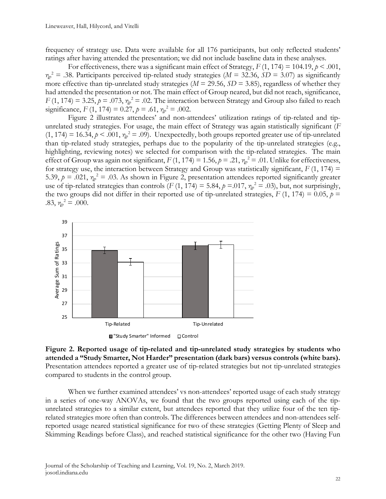frequency of strategy use. Data were available for all 176 participants, but only reflected students' ratings after having attended the presentation; we did not include baseline data in these analyses.

For effectiveness, there was a significant main effect of Strategy,  $F(1, 174) = 104.19$ ,  $p < .001$ ,  $m_p^2 = .38$ . Participants perceived tip-related study strategies ( $M = 32.36$ ,  $SD = 3.07$ ) as significantly more effective than tip-unrelated study strategies ( $M = 29.56$ ,  $SD = 3.85$ ), regardless of whether they had attended the presentation or not. The main effect of Group neared, but did not reach, significance,  $F(1, 174) = 3.25$ ,  $p = .073$ ,  $\eta_p^2 = .02$ . The interaction between Strategy and Group also failed to reach significance,  $F(1, 174) = 0.27$ ,  $p = .61$ ,  $\eta_p^2 = .002$ .

Figure 2 illustrates attendees' and non-attendees' utilization ratings of tip-related and tipunrelated study strategies. For usage, the main effect of Strategy was again statistically significant (*F*  $(1, 174) = 16.34, p < .001, \eta_p^2 = .09)$ . Unexpectedly, both groups reported greater use of tip-unrelated than tip-related study strategies, perhaps due to the popularity of the tip-unrelated strategies (e.g., highlighting, reviewing notes) we selected for comparison with the tip-related strategies. The main effect of Group was again not significant,  $F(1, 174) = 1.56$ ,  $p = .21$ ,  $\eta_p^2 = .01$ . Unlike for effectiveness, for strategy use, the interaction between Strategy and Group was statistically significant,  $F(1, 174) =$ 5.39,  $p = .021$ ,  $\eta_p^2 = .03$ . As shown in Figure 2, presentation attendees reported significantly greater use of tip-related strategies than controls (*F* (1, 174) = 5.84,  $p = .017$ ,  $\eta_p^2 = .03$ ), but, not surprisingly, the two groups did not differ in their reported use of tip-unrelated strategies,  $F(1, 174) = 0.05$ ,  $p =$ .83,  $\eta_p^2 = .000$ .



**Figure 2. Reported usage of tip-related and tip-unrelated study strategies by students who attended a "Study Smarter, Not Harder" presentation (dark bars) versus controls (white bars).**  Presentation attendees reported a greater use of tip-related strategies but not tip-unrelated strategies compared to students in the control group.

When we further examined attendees' vs non-attendees' reported usage of each study strategy in a series of one-way ANOVAs, we found that the two groups reported using each of the tipunrelated strategies to a similar extent, but attendees reported that they utilize four of the ten tiprelated strategies more often than controls. The differences between attendees and non-attendees selfreported usage neared statistical significance for two of these strategies (Getting Plenty of Sleep and Skimming Readings before Class), and reached statistical significance for the other two (Having Fun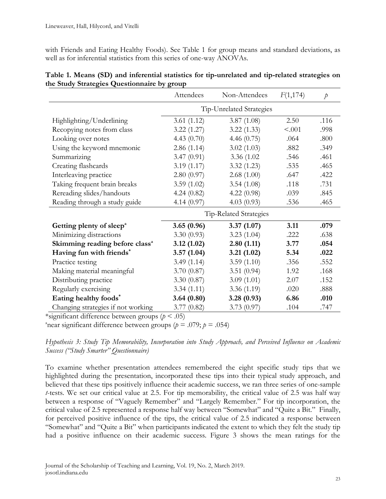with Friends and Eating Healthy Foods). See Table 1 for group means and standard deviations, as well as for inferential statistics from this series of one-way ANOVAs.

|                                            | Attendees              | Non-Attendees            | F(1,174) | $\dot{p}$ |  |  |
|--------------------------------------------|------------------------|--------------------------|----------|-----------|--|--|
|                                            |                        | Tip-Unrelated Strategies |          |           |  |  |
| Highlighting/Underlining                   | 3.61(1.12)             | 3.87(1.08)               | 2.50     | .116      |  |  |
| Recopying notes from class                 | 3.22(1.27)             | 3.22(1.33)               | < .001   | .998      |  |  |
| Looking over notes                         | 4.43 $(0.70)$          | 4.46 $(0.75)$            | .064     | .800      |  |  |
| Using the keyword mnemonic                 | 2.86(1.14)             | 3.02(1.03)               | .882     | .349      |  |  |
| Summarizing                                | 3.47(0.91)             | 3.36 (1.02)              | .546     | .461      |  |  |
| Creating flashcards                        | 3.19(1.17)             | 3.32(1.23)               | .535     | .465      |  |  |
| Interleaving practice                      | 2.80(0.97)             | 2.68(1.00)               | .647     | .422      |  |  |
| Taking frequent brain breaks               | 3.59(1.02)             | 3.54(1.08)               | .118     | .731      |  |  |
| Rereading slides/handouts                  | 4.24(0.82)             | 4.22(0.98)               | .039     | .845      |  |  |
| Reading through a study guide              | 4.14(0.97)             | 4.03(0.93)               | .536     | .465      |  |  |
|                                            | Tip-Related Strategies |                          |          |           |  |  |
| Getting plenty of sleep <sup>a</sup>       | 3.65(0.96)             | 3.37(1.07)               | 3.11     | .079      |  |  |
| Minimizing distractions                    | 3.30(0.93)             | 3.23(1.04)               | .222     | .638      |  |  |
| Skimming reading before class <sup>a</sup> | 3.12(1.02)             | 2.80(1.11)               | 3.77     | .054      |  |  |
| Having fun with friends*                   | 3.57(1.04)             | 3.21(1.02)               | 5.34     | .022      |  |  |
| Practice testing                           | 3.49(1.14)             | 3.59(1.10)               | .356     | .552      |  |  |
| Making material meaningful                 | 3.70(0.87)             | 3.51(0.94)               | 1.92     | .168      |  |  |
| Distributing practice                      | 3.30(0.87)             | 3.09(1.01)               | 2.07     | .152      |  |  |
| Regularly exercising                       | 3.34(1.11)             | 3.36(1.19)               | .020     | .888      |  |  |
| Eating healthy foods*                      | 3.64(0.80)             | 3.28(0.93)               | 6.86     | .010      |  |  |
| Changing strategies if not working         | 3.77(0.82)             | 3.73(0.97)               | .104     | .747      |  |  |

### **Table 1. Means (SD) and inferential statistics for tip-unrelated and tip-related strategies on the Study Strategies Questionnaire by group**

\*significant difference between groups (*p* < .05)

<sup>a</sup> near significant difference between groups ( $p = .079$ ;  $p = .054$ )

*Hypothesis 3: Study Tip Memorability, Incorporation into Study Approach, and Perceived Influence on Academic Success ("Study Smarter" Questionnaire)*

To examine whether presentation attendees remembered the eight specific study tips that we highlighted during the presentation, incorporated these tips into their typical study approach, and believed that these tips positively influence their academic success, we ran three series of one-sample *t*-tests. We set our critical value at 2.5. For tip memorability, the critical value of 2.5 was half way between a response of "Vaguely Remember" and "Largely Remember." For tip incorporation, the critical value of 2.5 represented a response half way between "Somewhat" and "Quite a Bit." Finally, for perceived positive influence of the tips, the critical value of 2.5 indicated a response between "Somewhat" and "Quite a Bit" when participants indicated the extent to which they felt the study tip had a positive influence on their academic success. Figure 3 shows the mean ratings for the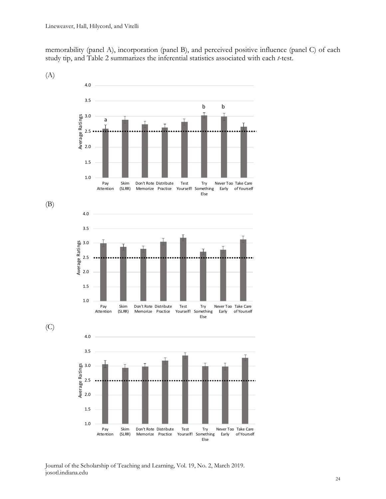memorability (panel A), incorporation (panel B), and perceived positive influence (panel C) of each study tip, and Table 2 summarizes the inferential statistics associated with each *t*-test.



Journal of the Scholarship of Teaching and Learning, Vol. 19, No. 2, March 2019. josotl.indiana.edu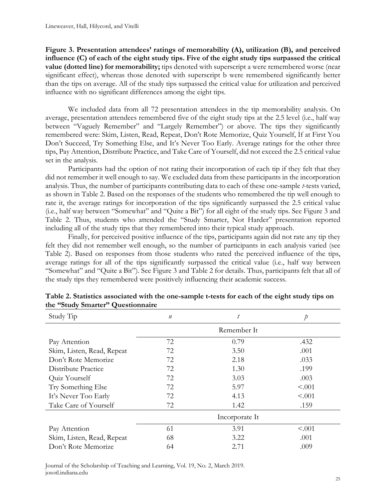**Figure 3. Presentation attendees' ratings of memorability (A), utilization (B), and perceived influence (C) of each of the eight study tips. Five of the eight study tips surpassed the critical value (dotted line) for memorability;** tips denoted with superscript a were remembered worse (near significant effect), whereas those denoted with superscript b were remembered significantly better than the tips on average. All of the study tips surpassed the critical value for utilization and perceived influence with no significant differences among the eight tips.

 We included data from all 72 presentation attendees in the tip memorability analysis. On average, presentation attendees remembered five of the eight study tips at the 2.5 level (i.e., half way between "Vaguely Remember" and "Largely Remember") or above. The tips they significantly remembered were: Skim, Listen, Read, Repeat, Don't Rote Memorize, Quiz Yourself, If at First You Don't Succeed, Try Something Else, and It's Never Too Early. Average ratings for the other three tips, Pay Attention, Distribute Practice, and Take Care of Yourself, did not exceed the 2.5 critical value set in the analysis.

Participants had the option of not rating their incorporation of each tip if they felt that they did not remember it well enough to say. We excluded data from these participants in the incorporation analysis. Thus, the number of participants contributing data to each of these one-sample *t*-tests varied, as shown in Table 2. Based on the responses of the students who remembered the tip well enough to rate it, the average ratings for incorporation of the tips significantly surpassed the 2.5 critical value (i.e., half way between "Somewhat" and "Quite a Bit") for all eight of the study tips. See Figure 3 and Table 2. Thus, students who attended the "Study Smarter, Not Harder" presentation reported including all of the study tips that they remembered into their typical study approach.

Finally, for perceived positive influence of the tips, participants again did not rate any tip they felt they did not remember well enough, so the number of participants in each analysis varied (see Table 2). Based on responses from those students who rated the perceived influence of the tips, average ratings for all of the tips significantly surpassed the critical value (i.e., half way between "Somewhat" and "Quite a Bit"). See Figure 3 and Table 2 for details. Thus, participants felt that all of the study tips they remembered were positively influencing their academic success.

| Study Tip                  | $\boldsymbol{n}$ | t           | $\mathcal{P}$ |  |  |
|----------------------------|------------------|-------------|---------------|--|--|
|                            |                  | Remember It |               |  |  |
| Pay Attention              | 72               | 0.79        | .432          |  |  |
| Skim, Listen, Read, Repeat | 72               | 3.50        | .001          |  |  |
| Don't Rote Memorize        | 72               | 2.18        | .033          |  |  |
| Distribute Practice        | 72               | 1.30        | .199          |  |  |
| Quiz Yourself              | 72               | 3.03        | .003          |  |  |
| Try Something Else         | 72               | 5.97        | < 0.001       |  |  |
| It's Never Too Early       | 72               | 4.13        | < .001        |  |  |
| Take Care of Yourself      | 72               | 1.42        | .159          |  |  |
|                            | Incorporate It   |             |               |  |  |
| Pay Attention              | 61               | 3.91        | < .001        |  |  |
| Skim, Listen, Read, Repeat | 68               | 3.22        | .001          |  |  |
| Don't Rote Memorize        | 64               | 2.71        | .009          |  |  |

| Table 2. Statistics associated with the one-sample t-tests for each of the eight study tips on |
|------------------------------------------------------------------------------------------------|
| the "Study Smarter" Questionnaire                                                              |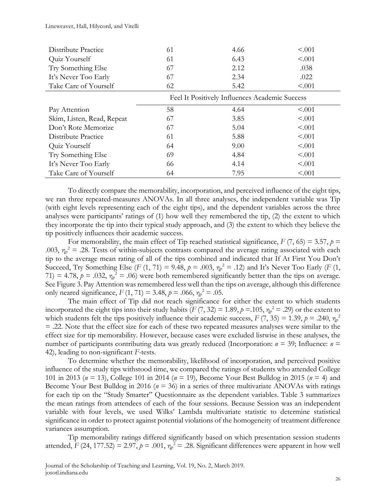| Distribute Practice        | 61 | 4.66                                           | < 0.001 |
|----------------------------|----|------------------------------------------------|---------|
| Quiz Yourself              | 61 | 6.43                                           | < .001  |
| Try Something Else         | 67 | 2.12                                           | .038    |
| It's Never Too Early       | 67 | 2.34                                           | .022    |
| Take Care of Yourself      | 62 | 5.42                                           | < .001  |
|                            |    | Feel It Positively Influences Academic Success |         |
| Pay Attention              | 58 | 4.64                                           | < 0.001 |
| Skim, Listen, Read, Repeat | 67 | 3.85                                           | < .001  |
| Don't Rote Memorize        | 67 | 5.04                                           | < .001  |
| Distribute Practice        | 61 | 5.88                                           | < 0.001 |
| Quiz Yourself              | 64 | 9.00                                           | < 0.001 |
| Try Something Else         | 69 | 4.84                                           | < .001  |
| It's Never Too Early       | 66 | 4.14                                           | < 0.001 |
| Take Care of Yourself      | 64 | 7.95                                           | < .001  |

To directly compare the memorability, incorporation, and perceived influence of the eight tips, we ran three repeated-measures ANOVAs. In all three analyses, the independent variable was Tip (with eight levels representing each of the eight tips), and the dependent variables across the three analyses were participants' ratings of (1) how well they remembered the tip, (2) the extent to which they incorporate the tip into their typical study approach, and (3) the extent to which they believe the tip positively influences their academic success.

For memorability, the main effect of Tip reached statistical significance,  $F(7, 65) = 3.57$ ,  $p =$ .003,  $\eta_p^2$  = .28. Tests of within-subjects contrasts compared the average rating associated with each tip to the average mean rating of all of the tips combined and indicated that If At First You Don't Succeed, Try Something Else (*F* (1, 71) = 9.48,  $p = .003$ ,  $\eta_p^2 = .12$ ) and It's Never Too Early (*F* (1, 71) = 4.78,  $p = .032$ ,  $\eta_p^2 = .06$ ) were both remembered significantly better than the tips on average. See Figure 3. Pay Attention was remembered less well than the tips on average, although this difference only neared significance,  $F(1, 71) = 3.48$ ,  $p = .066$ ,  $\eta_p^2 = .05$ .

The main effect of Tip did not reach significance for either the extent to which students incorporated the eight tips into their study habits ( $F(7, 32) = 1.89$ ,  $p = .105$ ,  $\eta_p^2 = .29$ ) or the extent to which students felt the tips positively influence their academic success,  $F(7, 35) = 1.39$ ,  $p = .240$ ,  $\eta_p^2$ = .22. Note that the effect size for each of these two repeated measures analyses were similar to the effect size for tip memorability. However, because cases were excluded listwise in these analyses, the number of participants contributing data was greatly reduced (Incorporation:  $n = 39$ ; Influence:  $n =$ 42), leading to non-significant *F*-tests.

To determine whether the memorability, likelihood of incorporation, and perceived positive influence of the study tips withstood time, we compared the ratings of students who attended College 101 in 2013 (*n* = 13), College 101 in 2014 (*n* = 19), Become Your Best Bulldog in 2015 (*n* = 4) and Become Your Best Bulldog in 2016 (*n* = 36) in a series of three multivariate ANOVAs with ratings for each tip on the "Study Smarter" Questionnaire as the dependent variables. Table 3 summarizes the mean ratings from attendees of each of the four sessions. Because Session was an independent variable with four levels, we used Wilks' Lambda multivariate statistic to determine statistical significance in order to protect against potential violations of the homogeneity of treatment difference variances assumption.

Tip memorability ratings differed significantly based on which presentation session students attended,  $F(24, 177.52) = 2.97$ ,  $p = .001$ ,  $\eta_p^2 = .28$ . Significant differences were apparent in how well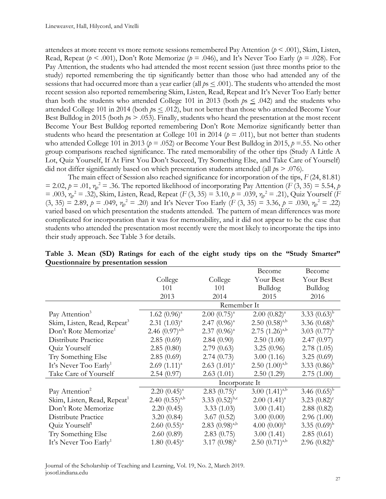attendees at more recent vs more remote sessions remembered Pay Attention (*p* < .001), Skim, Listen, Read, Repeat ( $p < .001$ ), Don't Rote Memorize ( $p = .046$ ), and It's Never Too Early ( $p = .028$ ). For Pay Attention, the students who had attended the most recent session (just three months prior to the study) reported remembering the tip significantly better than those who had attended any of the sessions that had occurred more than a year earlier (all  $ps \leq .001$ ). The students who attended the most recent session also reported remembering Skim, Listen, Read, Repeat and It's Never Too Early better than both the students who attended College 101 in 2013 (both  $ps \leq .042$ ) and the students who attended College 101 in 2014 (both  $ps \leq .012$ ), but not better than those who attended Become Your Best Bulldog in 2015 (both *p*s > .053). Finally, students who heard the presentation at the most recent Become Your Best Bulldog reported remembering Don't Rote Memorize significantly better than students who heard the presentation at College 101 in 2014 ( $p = .011$ ), but not better than students who attended College 101 in 2013 ( $p = .052$ ) or Become Your Best Bulldog in 2015,  $p = .55$ . No other group comparisons reached significance. The rated memorability of the other tips (Study A Little A Lot, Quiz Yourself, If At First You Don't Succeed, Try Something Else, and Take Care of Yourself) did not differ significantly based on which presentation students attended (all *p*s > .076).

The main effect of Session also reached significance for incorporation of the tips, *F* (24, 81.81)  $= 2.02$ ,  $p = .01$ ,  $\eta_p^2 = .36$ . The reported likelihood of incorporating Pay Attention (*F* (3, 35) = 5.54, *p*  $=$  .003,  $\eta_p^2 =$  .32), Skim, Listen, Read, Repeat (*F* (3, 35) = 3.10,  $p = .039$ ,  $\eta_p^2 = .21$ ), Quiz Yourself (*F*  $(3, 35) = 2.89, p = .049, \eta_p^2 = .20$  and It's Never Too Early (*F* (3, 35) = 3.36,  $p = .030, \eta_p^2 = .22$ ) varied based on which presentation the students attended. The pattern of mean differences was more complicated for incorporation than it was for memorability, and it did not appear to be the case that students who attended the presentation most recently were the most likely to incorporate the tips into their study approach. See Table 3 for details.

|                                         |                     |                     | Become                | Become                     |
|-----------------------------------------|---------------------|---------------------|-----------------------|----------------------------|
|                                         | College             | College             | Your Best             | Your Best                  |
|                                         | 101                 | 101                 | Bulldog               | Bulldog                    |
|                                         | 2013                | 2014                | 2015                  | 2016                       |
|                                         |                     | Remember It         |                       |                            |
| Pay Attention <sup>3</sup>              | $1.62 (0.96)^{a}$   | $2.00~(0.75)^{a}$   | $2.00~(0.82)^{a}$     | 3.33 $(0.63)^{b}$          |
| Skim, Listen, Read, Repeat <sup>3</sup> | $2.31 (1.03)^{a}$   | $2.47(0.96)^{a}$    | $2.50(0.58)^{a,b}$    | 3.36 $(0.68)^{b}$          |
| Don't Rote Memorize <sup>1</sup>        | 2.46 $(0.97)^{a,b}$ | $2.37(0.96)^{a}$    | $2.75$ $(1.26)^{a,b}$ | 3.03 $(0.77)^{b}$          |
| Distribute Practice                     | 2.85(0.69)          | 2.84(0.90)          | 2.50(1.00)            | 2.47(0.97)                 |
| Quiz Yourself                           | 2.85(0.80)          | 2.79(0.63)          | 3.25(0.96)            | 2.78(1.05)                 |
| Try Something Else                      | 2.85(0.69)          | 2.74(0.73)          | 3.00(1.16)            | 3.25(0.69)                 |
| It's Never Too Early <sup>1</sup>       | $2.69(1.11)^{a}$    | $2.63$ $(1.01)^a$   | $2.50$ $(1.00)^{a,b}$ | 3.33 $(0.86)^{b}$          |
| Take Care of Yourself                   | 2.54(0.97)          | 2.63(1.01)          | 2.50(1.29)            | 2.75(1.00)                 |
|                                         |                     | Incorporate It      |                       |                            |
| Pay Attention <sup>2</sup>              | $2.20~(0.45)^{a}$   | $2.83(0.75)^{a}$    | $3.00(1.41)^{a,b}$    | 3.46 $(0.65)^{b}$          |
| Skim, Listen, Read, Repeat <sup>1</sup> | 2.40 $(0.55)^{a,b}$ | 3.33 $(0.52)^{b,c}$ | $2.00(1.41)^{a}$      | 3.23 $(0.82)$ <sup>c</sup> |
| Don't Rote Memorize                     | 2.20(0.45)          | 3.33(1.03)          | 3.00(1.41)            | 2.88(0.82)                 |
| Distribute Practice                     | 3.20(0.84)          | 3.67(0.52)          | 3.00(0.00)            | 2.96(1.00)                 |
| Quiz Yourself <sup>1</sup>              | $2.60(0.55)^{a}$    | $2.83(0.98)^{a,b}$  | 4.00 $(0.00)^{b}$     | 3.35 $(0.69)^{b}$          |
| Try Something Else                      | 2.60(0.89)          | 2.83(0.75)          | 3.00(1.41)            | 2.85(0.61)                 |
| It's Never Too Early <sup>1</sup>       | $1.80~(0.45)^{a}$   | 3.17 $(0.98)^{b}$   | $2.50(0.71)^{a,b}$    | $2.96(0.82)^{b}$           |

**Table 3. Mean (SD) Ratings for each of the eight study tips on the "Study Smarter" Questionnaire by presentation session**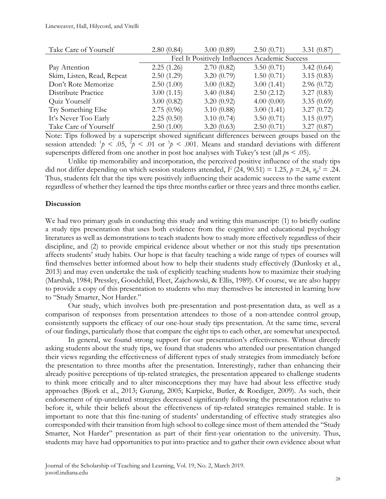#### Lineweaver, Hall, Hilycord, and Vitelli

| Take Care of Yourself      | 2.80(0.84)                                     | 3.00(0.89) | 2.50(0.71) | 3.31(0.87) |  |  |  |
|----------------------------|------------------------------------------------|------------|------------|------------|--|--|--|
|                            | Feel It Positively Influences Academic Success |            |            |            |  |  |  |
| Pay Attention              | 2.25(1.26)                                     | 2.70(0.82) | 3.50(0.71) | 3.42(0.64) |  |  |  |
| Skim, Listen, Read, Repeat | 2.50(1.29)                                     | 3.20(0.79) | 1.50(0.71) | 3.15(0.83) |  |  |  |
| Don't Rote Memorize        | 2.50(1.00)                                     | 3.00(0.82) | 3.00(1.41) | 2.96(0.72) |  |  |  |
| Distribute Practice        | 3.00(1.15)                                     | 3.40(0.84) | 2.50(2.12) | 3.27(0.83) |  |  |  |
| Quiz Yourself              | 3.00(0.82)                                     | 3.20(0.92) | 4.00(0.00) | 3.35(0.69) |  |  |  |
| Try Something Else         | 2.75(0.96)                                     | 3.10(0.88) | 3.00(1.41) | 3.27(0.72) |  |  |  |
| It's Never Too Early       | 2.25(0.50)                                     | 3.10(0.74) | 3.50(0.71) | 3.15(0.97) |  |  |  |
| Take Care of Yourself      | 2.50(1.00)                                     | 3.20(0.63) | 2.50(0.71) | 3.27(0.87) |  |  |  |

Note: Tips followed by a superscript showed significant differences between groups based on the session attended:  $\frac{1}{\rho}$  < .05,  $\frac{2}{\rho}$  < .01 or  $\frac{3}{\rho}$  < .001. Means and standard deviations with different superscripts differed from one another in post hoc analyses with Tukey's test (all *p*s < .05).

Unlike tip memorability and incorporation, the perceived positive influence of the study tips did not differ depending on which session students attended,  $F(24, 90.51) = 1.25$ ,  $p = 0.24$ ,  $\eta_p^2 = 0.24$ . Thus, students felt that the tips were positively influencing their academic success to the same extent regardless of whether they learned the tips three months earlier or three years and three months earlier.

#### **Discussion**

We had two primary goals in conducting this study and writing this manuscript: (1) to briefly outline a study tips presentation that uses both evidence from the cognitive and educational psychology literatures as well as demonstrations to teach students how to study more effectively regardless of their discipline, and (2) to provide empirical evidence about whether or not this study tips presentation affects students' study habits. Our hope is that faculty teaching a wide range of types of courses will find themselves better informed about how to help their students study effectively (Dunlosky et al., 2013) and may even undertake the task of explicitly teaching students how to maximize their studying (Marshak, 1984; Pressley, Goodchild, Fleet, Zajchowski, & Ellis, 1989). Of course, we are also happy to provide a copy of this presentation to students who may themselves be interested in learning how to "Study Smarter, Not Harder."

Our study, which involves both pre-presentation and post-presentation data, as well as a comparison of responses from presentation attendees to those of a non-attendee control group, consistently supports the efficacy of our one-hour study tips presentation. At the same time, several of our findings, particularly those that compare the eight tips to each other, are somewhat unexpected.

In general, we found strong support for our presentation's effectiveness. Without directly asking students about the study tips, we found that students who attended our presentation changed their views regarding the effectiveness of different types of study strategies from immediately before the presentation to three months after the presentation. Interestingly, rather than enhancing their already positive perceptions of tip-related strategies, the presentation appeared to challenge students to think more critically and to alter misconceptions they may have had about less effective study approaches (Bjork et al., 2013; Gurung, 2005; Karpicke, Butler, & Roediger, 2009). As such, their endorsement of tip-unrelated strategies decreased significantly following the presentation relative to before it, while their beliefs about the effectiveness of tip-related strategies remained stable. It is important to note that this fine-tuning of students' understanding of effective study strategies also corresponded with their transition from high school to college since most of them attended the "Study Smarter, Not Harder" presentation as part of their first-year orientation to the university. Thus, students may have had opportunities to put into practice and to gather their own evidence about what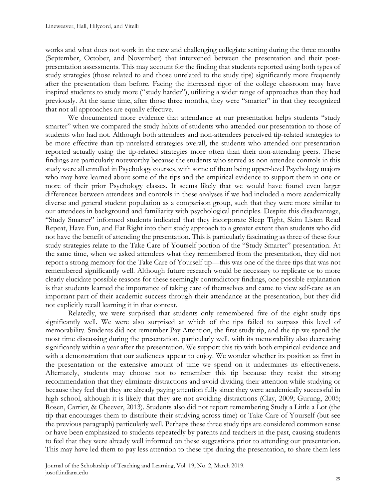works and what does not work in the new and challenging collegiate setting during the three months (September, October, and November) that intervened between the presentation and their postpresentation assessments. This may account for the finding that students reported using both types of study strategies (those related to and those unrelated to the study tips) significantly more frequently after the presentation than before. Facing the increased rigor of the college classroom may have inspired students to study more ("study harder"), utilizing a wider range of approaches than they had previously. At the same time, after those three months, they were "smarter" in that they recognized that not all approaches are equally effective.

We documented more evidence that attendance at our presentation helps students "study smarter" when we compared the study habits of students who attended our presentation to those of students who had not. Although both attendees and non-attendees perceived tip-related strategies to be more effective than tip-unrelated strategies overall, the students who attended our presentation reported actually using the tip-related strategies more often than their non-attending peers. These findings are particularly noteworthy because the students who served as non-attendee controls in this study were all enrolled in Psychology courses, with some of them being upper-level Psychology majors who may have learned about some of the tips and the empirical evidence to support them in one or more of their prior Psychology classes. It seems likely that we would have found even larger differences between attendees and controls in these analyses if we had included a more academically diverse and general student population as a comparison group, such that they were more similar to our attendees in background and familiarity with psychological principles. Despite this disadvantage, "Study Smarter" informed students indicated that they incorporate Sleep Tight, Skim Listen Read Repeat, Have Fun, and Eat Right into their study approach to a greater extent than students who did not have the benefit of attending the presentation. This is particularly fascinating as three of these four study strategies relate to the Take Care of Yourself portion of the "Study Smarter" presentation. At the same time, when we asked attendees what they remembered from the presentation, they did not report a strong memory for the Take Care of Yourself tip—this was one of the three tips that was not remembered significantly well. Although future research would be necessary to replicate or to more clearly elucidate possible reasons for these seemingly contradictory findings, one possible explanation is that students learned the importance of taking care of themselves and came to view self-care as an important part of their academic success through their attendance at the presentation, but they did not explicitly recall learning it in that context.

Relatedly, we were surprised that students only remembered five of the eight study tips significantly well. We were also surprised at which of the tips failed to surpass this level of memorability. Students did not remember Pay Attention, the first study tip, and the tip we spend the most time discussing during the presentation, particularly well, with its memorability also decreasing significantly within a year after the presentation. We support this tip with both empirical evidence and with a demonstration that our audiences appear to enjoy. We wonder whether its position as first in the presentation or the extensive amount of time we spend on it undermines its effectiveness. Alternately, students may choose not to remember this tip because they resist the strong recommendation that they eliminate distractions and avoid dividing their attention while studying or because they feel that they are already paying attention fully since they were academically successful in high school, although it is likely that they are not avoiding distractions (Clay, 2009; Gurung, 2005; Rosen, Carrier, & Cheever, 2013). Students also did not report remembering Study a Little a Lot (the tip that encourages them to distribute their studying across time) or Take Care of Yourself (but see the previous paragraph) particularly well. Perhaps these three study tips are considered common sense or have been emphasized to students repeatedly by parents and teachers in the past, causing students to feel that they were already well informed on these suggestions prior to attending our presentation. This may have led them to pay less attention to these tips during the presentation, to share them less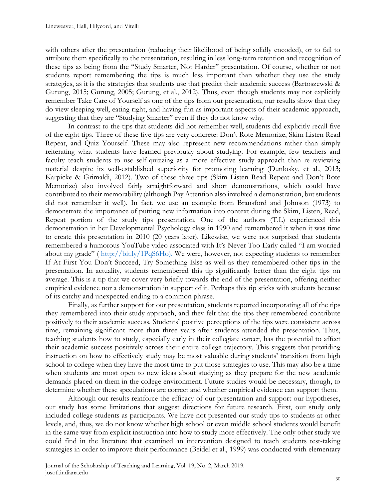with others after the presentation (reducing their likelihood of being solidly encoded), or to fail to attribute them specifically to the presentation, resulting in less long-term retention and recognition of these tips as being from the "Study Smarter, Not Harder" presentation. Of course, whether or not students report remembering the tips is much less important than whether they use the study strategies, as it is the strategies that students use that predict their academic success (Bartoszewski & Gurung, 2015; Gurung, 2005; Gurung, et al., 2012). Thus, even though students may not explicitly remember Take Care of Yourself as one of the tips from our presentation, our results show that they do view sleeping well, eating right, and having fun as important aspects of their academic approach, suggesting that they are "Studying Smarter" even if they do not know why.

In contrast to the tips that students did not remember well, students did explicitly recall five of the eight tips. Three of these five tips are very concrete: Don't Rote Memorize, Skim Listen Read Repeat, and Quiz Yourself. These may also represent new recommendations rather than simply reiterating what students have learned previously about studying. For example, few teachers and faculty teach students to use self-quizzing as a more effective study approach than re-reviewing material despite its well-established superiority for promoting learning (Dunlosky, et al., 2013; Karpicke & Grimaldi, 2012). Two of these three tips (Skim Listen Read Repeat and Don't Rote Memorize) also involved fairly straightforward and short demonstrations, which could have contributed to their memorability (although Pay Attention also involved a demonstration, but students did not remember it well). In fact, we use an example from Bransford and Johnson (1973) to demonstrate the importance of putting new information into context during the Skim, Listen, Read, Repeat portion of the study tips presentation. One of the authors (T.L) experienced this demonstration in her Developmental Psychology class in 1990 and remembered it when it was time to create this presentation in 2010 (20 years later). Likewise, we were not surprised that students remembered a humorous YouTube video associated with It's Never Too Early called "I am worried about my grade" ( [http://bit.ly/1PqS6Ho\)](http://bit.ly/1PqS6Ho). We were, however, not expecting students to remember If At First You Don't Succeed, Try Something Else as well as they remembered other tips in the presentation. In actuality, students remembered this tip significantly better than the eight tips on average. This is a tip that we cover very briefly towards the end of the presentation, offering neither empirical evidence nor a demonstration in support of it. Perhaps this tip sticks with students because of its catchy and unexpected ending to a common phrase.

Finally, as further support for our presentation, students reported incorporating all of the tips they remembered into their study approach, and they felt that the tips they remembered contribute positively to their academic success. Students' positive perceptions of the tips were consistent across time, remaining significant more than three years after students attended the presentation. Thus, teaching students how to study, especially early in their collegiate career, has the potential to affect their academic success positively across their entire college trajectory. This suggests that providing instruction on how to effectively study may be most valuable during students' transition from high school to college when they have the most time to put those strategies to use. This may also be a time when students are most open to new ideas about studying as they prepare for the new academic demands placed on them in the college environment. Future studies would be necessary, though, to determine whether these speculations are correct and whether empirical evidence can support them.

Although our results reinforce the efficacy of our presentation and support our hypotheses, our study has some limitations that suggest directions for future research. First, our study only included college students as participants. We have not presented our study tips to students at other levels, and, thus, we do not know whether high school or even middle school students would benefit in the same way from explicit instruction into how to study more effectively. The only other study we could find in the literature that examined an intervention designed to teach students test-taking strategies in order to improve their performance (Beidel et al., 1999) was conducted with elementary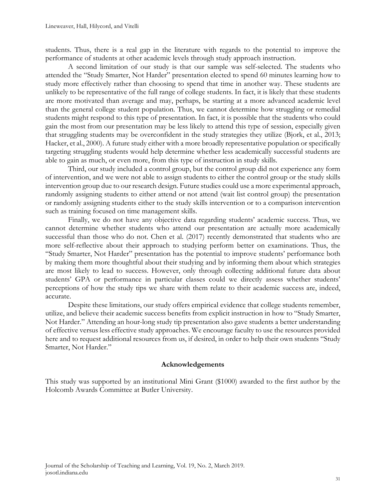students. Thus, there is a real gap in the literature with regards to the potential to improve the performance of students at other academic levels through study approach instruction.

A second limitation of our study is that our sample was self-selected. The students who attended the "Study Smarter, Not Harder" presentation elected to spend 60 minutes learning how to study more effectively rather than choosing to spend that time in another way. These students are unlikely to be representative of the full range of college students. In fact, it is likely that these students are more motivated than average and may, perhaps, be starting at a more advanced academic level than the general college student population. Thus, we cannot determine how struggling or remedial students might respond to this type of presentation. In fact, it is possible that the students who could gain the most from our presentation may be less likely to attend this type of session, especially given that struggling students may be overconfident in the study strategies they utilize (Bjork, et al., 2013; Hacker, et al., 2000). A future study either with a more broadly representative population or specifically targeting struggling students would help determine whether less academically successful students are able to gain as much, or even more, from this type of instruction in study skills.

Third, our study included a control group, but the control group did not experience any form of intervention, and we were not able to assign students to either the control group or the study skills intervention group due to our research design. Future studies could use a more experimental approach, randomly assigning students to either attend or not attend (wait list control group) the presentation or randomly assigning students either to the study skills intervention or to a comparison intervention such as training focused on time management skills.

Finally, we do not have any objective data regarding students' academic success. Thus, we cannot determine whether students who attend our presentation are actually more academically successful than those who do not. Chen et al. (2017) recently demonstrated that students who are more self-reflective about their approach to studying perform better on examinations. Thus, the "Study Smarter, Not Harder" presentation has the potential to improve students' performance both by making them more thoughtful about their studying and by informing them about which strategies are most likely to lead to success. However, only through collecting additional future data about students' GPA or performance in particular classes could we directly assess whether students' perceptions of how the study tips we share with them relate to their academic success are, indeed, accurate.

Despite these limitations, our study offers empirical evidence that college students remember, utilize, and believe their academic success benefits from explicit instruction in how to "Study Smarter, Not Harder." Attending an hour-long study tip presentation also gave students a better understanding of effective versus less effective study approaches. We encourage faculty to use the resources provided here and to request additional resources from us, if desired, in order to help their own students "Study Smarter, Not Harder."

#### **Acknowledgements**

This study was supported by an institutional Mini Grant (\$1000) awarded to the first author by the Holcomb Awards Committee at Butler University.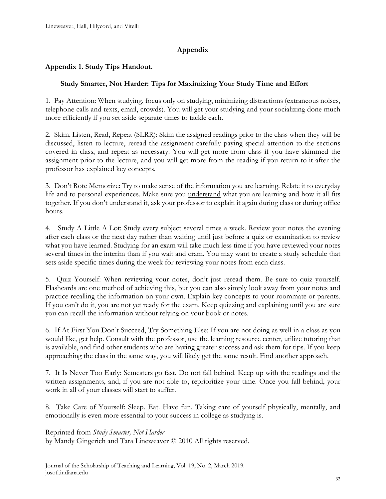## **Appendix**

## **Appendix 1. Study Tips Handout.**

### **Study Smarter, Not Harder: Tips for Maximizing Your Study Time and Effort**

1. Pay Attention: When studying, focus only on studying, minimizing distractions (extraneous noises, telephone calls and texts, email, crowds). You will get your studying and your socializing done much more efficiently if you set aside separate times to tackle each.

2. Skim, Listen, Read, Repeat (SLRR): Skim the assigned readings prior to the class when they will be discussed, listen to lecture, reread the assignment carefully paying special attention to the sections covered in class, and repeat as necessary. You will get more from class if you have skimmed the assignment prior to the lecture, and you will get more from the reading if you return to it after the professor has explained key concepts.

3. Don't Rote Memorize: Try to make sense of the information you are learning. Relate it to everyday life and to personal experiences. Make sure you understand what you are learning and how it all fits together. If you don't understand it, ask your professor to explain it again during class or during office hours.

4. Study A Little A Lot: Study every subject several times a week. Review your notes the evening after each class or the next day rather than waiting until just before a quiz or examination to review what you have learned. Studying for an exam will take much less time if you have reviewed your notes several times in the interim than if you wait and cram. You may want to create a study schedule that sets aside specific times during the week for reviewing your notes from each class.

5. Quiz Yourself: When reviewing your notes, don't just reread them. Be sure to quiz yourself. Flashcards are one method of achieving this, but you can also simply look away from your notes and practice recalling the information on your own. Explain key concepts to your roommate or parents. If you can't do it, you are not yet ready for the exam. Keep quizzing and explaining until you are sure you can recall the information without relying on your book or notes.

6. If At First You Don't Succeed, Try Something Else: If you are not doing as well in a class as you would like, get help. Consult with the professor, use the learning resource center, utilize tutoring that is available, and find other students who are having greater success and ask them for tips. If you keep approaching the class in the same way, you will likely get the same result. Find another approach.

7. It Is Never Too Early: Semesters go fast. Do not fall behind. Keep up with the readings and the written assignments, and, if you are not able to, reprioritize your time. Once you fall behind, your work in all of your classes will start to suffer.

8. Take Care of Yourself: Sleep. Eat. Have fun. Taking care of yourself physically, mentally, and emotionally is even more essential to your success in college as studying is.

Reprinted from *Study Smarter, Not Harder* by Mandy Gingerich and Tara Lineweaver © 2010 All rights reserved.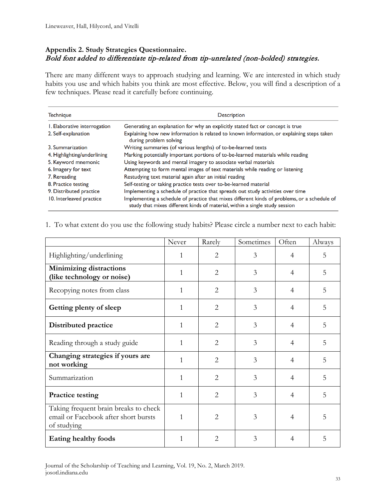### **Appendix 2. Study Strategies Questionnaire.**  Bold font added to differentiate tip-related from tip-unrelated (non-bolded) strategies.

There are many different ways to approach studying and learning. We are interested in which study habits you use and which habits you think are most effective. Below, you will find a description of a few techniques. Please read it carefully before continuing.

| <b>Technique</b>             | <b>Description</b>                                                                                                                                                          |
|------------------------------|-----------------------------------------------------------------------------------------------------------------------------------------------------------------------------|
| I. Elaborative interrogation | Generating an explanation for why an explicitly stated fact or concept is true                                                                                              |
| 2. Self-explanation          | Explaining how new information is related to known information, or explaining steps taken<br>during problem solving                                                         |
| 3. Summarization             | Writing summaries (of various lengths) of to-be-learned texts                                                                                                               |
| 4. Highlighting/underlining  | Marking potentially important portions of to-be-learned materials while reading                                                                                             |
| 5. Keyword mnemonic          | Using keywords and mental imagery to associate verbal materials                                                                                                             |
| 6. Imagery for text          | Attempting to form mental images of text materials while reading or listening                                                                                               |
| 7. Rereading                 | Restudying text material again after an initial reading                                                                                                                     |
| 8. Practice testing          | Self-testing or taking practice tests over to-be-learned material                                                                                                           |
| 9. Distributed practice      | Implementing a schedule of practice that spreads out study activities over time                                                                                             |
| 10. Interleaved practice     | Implementing a schedule of practice that mixes different kinds of problems, or a schedule of<br>study that mixes different kinds of material, within a single study session |

#### 1. To what extent do you use the following study habits? Please circle a number next to each habit:

|                                                                                              | Never        | Rarely         | Sometimes | Often          | Always |
|----------------------------------------------------------------------------------------------|--------------|----------------|-----------|----------------|--------|
| Highlighting/underlining                                                                     | 1            | 2              | 3         | $\overline{4}$ | 5      |
| <b>Minimizing distractions</b><br>(like technology or noise)                                 | 1            | $\overline{2}$ | 3         | $\overline{4}$ | 5      |
| Recopying notes from class                                                                   | 1            | $\overline{2}$ | 3         | $\overline{4}$ | 5      |
| Getting plenty of sleep                                                                      | 1            | $\overline{2}$ | 3         | $\overline{4}$ | 5      |
| Distributed practice                                                                         | 1            | $\overline{2}$ | 3         | $\overline{4}$ | 5      |
| Reading through a study guide                                                                | 1            | $\overline{2}$ | 3         | 4              | 5      |
| Changing strategies if yours are<br>not working                                              | 1            | $\overline{2}$ | 3         | 4              | 5      |
| Summarization                                                                                | $\mathbf{1}$ | $\overline{2}$ | 3         | 4              | 5      |
| <b>Practice testing</b>                                                                      | 1            | $\overline{2}$ | 3         | $\overline{4}$ | 5      |
| Taking frequent brain breaks to check<br>email or Facebook after short bursts<br>of studying | $\mathbf{1}$ | 2              | 3         | $\overline{4}$ | 5      |
| Eating healthy foods                                                                         | 1            | $\overline{2}$ | 3         | $\overline{4}$ | 5      |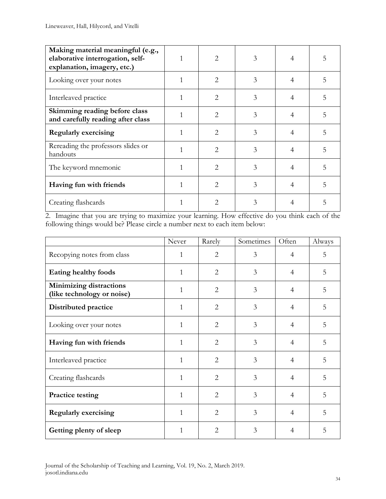| Making material meaningful (e.g.,<br>elaborative interrogation, self-<br>explanation, imagery, etc.) |   | $\mathcal{D}_{\mathcal{L}}$ | 3 | $\overline{4}$ |   |
|------------------------------------------------------------------------------------------------------|---|-----------------------------|---|----------------|---|
| Looking over your notes                                                                              |   | $\mathcal{D}_{\mathcal{L}}$ | 3 | 4              | 5 |
| Interleaved practice                                                                                 | 1 | $\overline{2}$              | 3 | $\overline{4}$ | 5 |
| Skimming reading before class<br>and carefully reading after class                                   |   | $\mathcal{D}_{\mathcal{L}}$ | 3 | $\overline{4}$ | 5 |
| <b>Regularly exercising</b>                                                                          |   | $\mathcal{D}_{\mathcal{L}}$ | 3 | 4              | 5 |
| Rereading the professors slides or<br>handouts                                                       |   | $\mathcal{D}_{\mathcal{L}}$ | 3 | $\overline{4}$ | 5 |
| The keyword mnemonic                                                                                 | 1 | 2                           | 3 | 4              | 5 |
| Having fun with friends                                                                              | 1 | $\mathcal{D}_{\mathcal{L}}$ | 3 | 4              | 5 |
| Creating flashcards                                                                                  |   | 2                           | 3 | 4              |   |

2. Imagine that you are trying to maximize your learning. How effective do you think each of the following things would be? Please circle a number next to each item below:

|                                                              | Never        | Rarely         | Sometimes | Often          | Always |
|--------------------------------------------------------------|--------------|----------------|-----------|----------------|--------|
| Recopying notes from class                                   | 1            | $\overline{2}$ | 3         | $\overline{4}$ | 5      |
| Eating healthy foods                                         | 1            | $\overline{2}$ | 3         | $\overline{4}$ | 5      |
| <b>Minimizing distractions</b><br>(like technology or noise) | $\mathbf{1}$ | $\overline{2}$ | 3         | $\overline{4}$ | 5      |
| Distributed practice                                         | 1            | $\overline{2}$ | 3         | $\overline{4}$ | 5      |
| Looking over your notes                                      | 1            | $\overline{2}$ | 3         | $\overline{4}$ | 5      |
| Having fun with friends                                      | 1            | $\overline{2}$ | 3         | $\overline{4}$ | 5      |
| Interleaved practice                                         | 1            | $\overline{2}$ | 3         | $\overline{4}$ | 5      |
| Creating flashcards                                          | $\mathbf{1}$ | $\overline{2}$ | 3         | $\overline{4}$ | 5      |
| <b>Practice testing</b>                                      | 1            | $\overline{2}$ | 3         | $\overline{4}$ | 5      |
| <b>Regularly exercising</b>                                  | 1            | $\overline{2}$ | 3         | $\overline{4}$ | 5      |
| Getting plenty of sleep                                      | $\mathbf{1}$ | $\mathfrak{D}$ | 3         | $\overline{4}$ | 5      |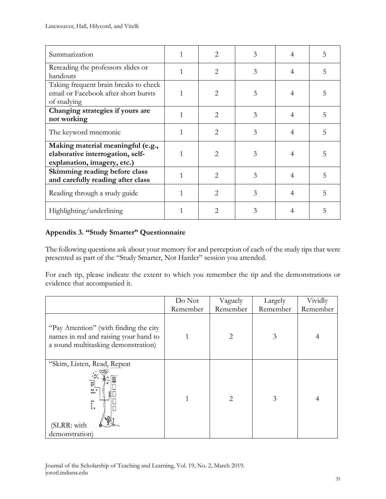| Summarization                                                                                        |   | 2                           | 3 | 4              | 5 |
|------------------------------------------------------------------------------------------------------|---|-----------------------------|---|----------------|---|
| Rereading the professors slides or<br>handouts                                                       |   | $\overline{2}$              | 3 | 4              | 5 |
| Taking frequent brain breaks to check<br>email or Facebook after short bursts<br>of studying         |   | 2                           | 3 | 4              |   |
| Changing strategies if yours are<br>not working                                                      | 1 | $\overline{2}$              | 3 | 4              | 5 |
| The keyword mnemonic                                                                                 |   | 2                           | 3 | $\overline{4}$ | 5 |
| Making material meaningful (e.g.,<br>elaborative interrogation, self-<br>explanation, imagery, etc.) |   | 2                           | 3 | 4              | 5 |
| Skimming reading before class<br>and carefully reading after class                                   |   | $\mathcal{D}_{\mathcal{L}}$ | 3 | 4              | 5 |
| Reading through a study guide                                                                        |   | 2                           | 3 | 4              | 5 |
| Highlighting/underlining                                                                             |   | 2                           | 3 |                | 5 |

### **Appendix 3. "Study Smarter" Questionnaire**

The following questions ask about your memory for and perception of each of the study tips that were presented as part of the "Study Smarter, Not Harder" session you attended.

For each tip, please indicate the extent to which you remember the tip and the demonstrations or evidence that accompanied it.

|                                                                                                                        | Do Not   | Vaguely  | Largely  | Vividly  |
|------------------------------------------------------------------------------------------------------------------------|----------|----------|----------|----------|
|                                                                                                                        | Remember | Remember | Remember | Remember |
| "Pay Attention" (with finding the city<br>names in red and raising your hand to<br>a sound multitasking demonstration) |          | 2        | 3        | 4        |
| "Skim, Listen, Read, Repeat<br>명<br>8 <sup>8</sup><br>000<br>000<br>00.<br>00<br>00<br>(SLRR: with<br>demonstration)   | 1        | 2        | 3        | 4        |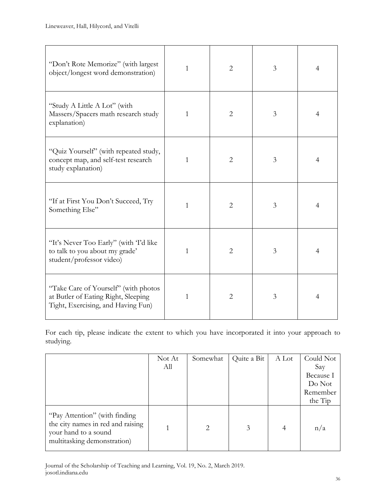| "Don't Rote Memorize" (with largest<br>object/longest word demonstration)                                         | 1            | $\overline{2}$ | 3 | $\overline{4}$ |
|-------------------------------------------------------------------------------------------------------------------|--------------|----------------|---|----------------|
| "Study A Little A Lot" (with<br>Massers/Spacers math research study<br>explanation)                               | 1            | $\overline{2}$ | 3 | $\overline{4}$ |
| "Quiz Yourself" (with repeated study,<br>concept map, and self-test research<br>study explanation)                | 1            | $\overline{2}$ | 3 | $\overline{4}$ |
| "If at First You Don't Succeed, Try<br>Something Else"                                                            | 1            | $\overline{2}$ | 3 | $\overline{4}$ |
| "It's Never Too Early" (with T'd like<br>to talk to you about my grade'<br>student/professor video)               | 1            | $\overline{2}$ | 3 | 4              |
| "Take Care of Yourself" (with photos<br>at Butler of Eating Right, Sleeping<br>Tight, Exercising, and Having Fun) | $\mathbf{1}$ | $\overline{2}$ | 3 | $\overline{4}$ |

For each tip, please indicate the extent to which you have incorporated it into your approach to studying.

|                                                                                                                           | Not At<br>All | Somewhat                    | Quite a Bit | A Lot | Could Not<br>Say<br>Because I<br>Do Not<br>Remember<br>the Tip |
|---------------------------------------------------------------------------------------------------------------------------|---------------|-----------------------------|-------------|-------|----------------------------------------------------------------|
| "Pay Attention" (with finding<br>the city names in red and raising<br>your hand to a sound<br>multitasking demonstration) |               | $\mathcal{D}_{\mathcal{L}}$ | 3           | 4     | n/a                                                            |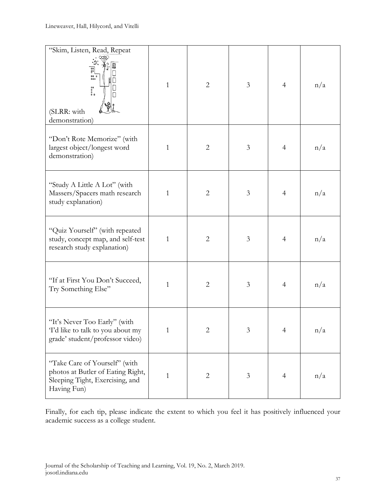| "Skim, Listen, Read, Repeat<br>Ø<br>명<br>80.0<br>800<br>88.<br>88<br>(SLRR: with<br>demonstration)                   | $\mathbf{1}$ | $\overline{2}$ | 3              | $\overline{4}$ | n/a |
|----------------------------------------------------------------------------------------------------------------------|--------------|----------------|----------------|----------------|-----|
| "Don't Rote Memorize" (with<br>largest object/longest word<br>demonstration)                                         | 1            | $\overline{2}$ | 3              | $\overline{4}$ | n/a |
| "Study A Little A Lot" (with<br>Massers/Spacers math research<br>study explanation)                                  | 1            | $\overline{2}$ | 3              | $\overline{4}$ | n/a |
| "Quiz Yourself" (with repeated<br>study, concept map, and self-test<br>research study explanation)                   | $\mathbf{1}$ | $\overline{2}$ | 3              | $\overline{4}$ | n/a |
| "If at First You Don't Succeed,<br>Try Something Else"                                                               | 1            | $\overline{2}$ | $\mathfrak{Z}$ | $\overline{4}$ | n/a |
| "It's Never Too Early" (with<br>Td like to talk to you about my<br>grade' student/professor video)                   | $\mathbf{1}$ | $\overline{2}$ | $\mathfrak{Z}$ | $\overline{4}$ | n/a |
| "Take Care of Yourself" (with<br>photos at Butler of Eating Right,<br>Sleeping Tight, Exercising, and<br>Having Fun) | $\mathbf{1}$ | $\overline{2}$ | $\mathfrak{Z}$ | $\overline{4}$ | n/a |

Finally, for each tip, please indicate the extent to which you feel it has positively influenced your academic success as a college student.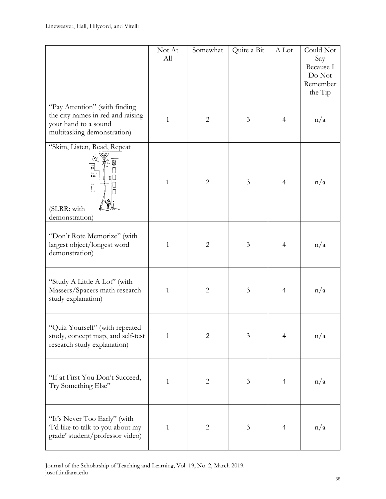|                                                                                                                                                | Not At<br>All | Somewhat       | Quite a Bit    | A Lot          | Could Not<br>Say<br>Because I<br>Do Not<br>Remember<br>the Tip |
|------------------------------------------------------------------------------------------------------------------------------------------------|---------------|----------------|----------------|----------------|----------------------------------------------------------------|
| "Pay Attention" (with finding<br>the city names in red and raising<br>your hand to a sound<br>multitasking demonstration)                      | 1             | $\overline{2}$ | $\mathfrak{Z}$ | $\overline{4}$ | n/a                                                            |
| "Skim, Listen, Read, Repeat<br>s"<br>8°<br>$\begin{array}{c} 0.0 \\ 0.0 \\ 0.0 \end{array}$<br>88<br>8<br>8 8<br>(SLRR: with<br>demonstration) | 1             | $\overline{2}$ | 3              | $\overline{4}$ | n/a                                                            |
| "Don't Rote Memorize" (with<br>largest object/longest word<br>demonstration)                                                                   | $\mathbf{1}$  | $\overline{2}$ | $\mathfrak{Z}$ | $\overline{4}$ | n/a                                                            |
| "Study A Little A Lot" (with<br>Massers/Spacers math research<br>study explanation)                                                            | $\mathbf{1}$  | $\overline{2}$ | 3              | $\overline{4}$ | n/a                                                            |
| "Quiz Yourself" (with repeated<br>study, concept map, and self-test<br>research study explanation)                                             | $\mathbf{1}$  | $\overline{2}$ | 3              | $\overline{4}$ | n/a                                                            |
| "If at First You Don't Succeed,<br>Try Something Else"                                                                                         | $\mathbf{1}$  | $\overline{2}$ | $\mathfrak{Z}$ | $\overline{4}$ | n/a                                                            |
| "It's Never Too Early" (with<br>Td like to talk to you about my<br>grade' student/professor video)                                             | $\mathbf{1}$  | $\overline{2}$ | 3              | 4              | n/a                                                            |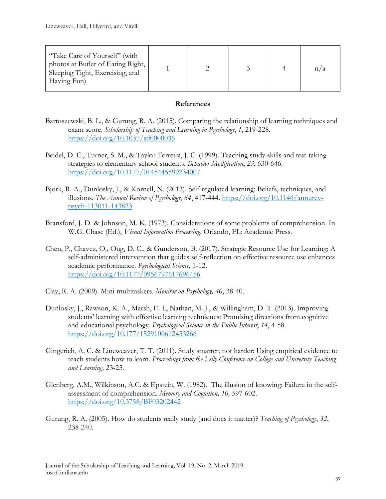| "Take Care of Yourself" (with<br>photos at Butler of Eating Right,<br>Sleeping Tight, Exercising, and<br>Having Fun) |  |  | n/a |
|----------------------------------------------------------------------------------------------------------------------|--|--|-----|
|                                                                                                                      |  |  |     |

### **References**

- Bartoszewski, B. L., & Gurung, R. A. (2015). Comparing the relationship of learning techniques and exam score. *Scholarship of Teaching and Learning in Psychology*, *1*, 219-228. <https://doi.org/10.1037/stl0000036>
- Beidel, D. C., Turner, S. M., & Taylor-Ferreira, J. C. (1999). Teaching study skills and test-taking strategies to elementary school students. *Behavior Modification*, *23*, 630-646. <https://doi.org/10.1177/0145445599234007>
- Bjork, R. A., Dunlosky, J., & Kornell, N. (2013). Self-regulated learning: Beliefs, techniques, and illusions. *The Annual Review of Psychology*, *64*, 417-444. [https://doi.org/10.1146/annurev](https://doi.org/10.1146/annurev-psych-113011-143823)[psych-113011-143823](https://doi.org/10.1146/annurev-psych-113011-143823)
- Bransford, J. D. & Johnson, M. K. (1973). Considerations of some problems of comprehension. In W.G. Chase (Ed.), *Visual Information Processing*. Orlando, FL: Academic Press.
- Chen, P., Chavez, O., Ong, D. C., & Gunderson, B. (2017). Strategic Resource Use for Learning: A self-administered intervention that guides self-reflection on effective resource use enhances academic performance. *Psychological Science,* 1-12. <https://doi.org/10.1177/0956797617696456>
- Clay, R. A. (2009). Mini-multitaskers. *Monitor on Psychology, 40*, 38-40.
- Dunlosky, J., Rawson, K. A., Marsh, E. J., Nathan, M. J., & Willingham, D. T. (2013). Improving students' learning with effective learning techniques: Promising directions from cognitive and educational psychology. *Psychological Science in the Public Interest*, *14*, 4-58. <https://doi.org/10.177/1529100612453266>
- Gingerich, A. C. & Lineweaver, T. T. (2011). Study smarter, not harder: Using empirical evidence to teach students how to learn. *Proceedings from the Lilly Conference on College and University Teaching and Learning,* 23-25.
- Glenberg, A.M., Wilkinson, A.C. & Epstein, W. (1982). The illusion of knowing: Failure in the selfassessment of comprehension. *Memory and Cognition, 10,* 597-602. <https://doi.org/10.3758/BF03202442>
- Gurung, R. A. (2005). How do students really study (and does it matter)? *Teaching of Psychology*, *32*, 238-240.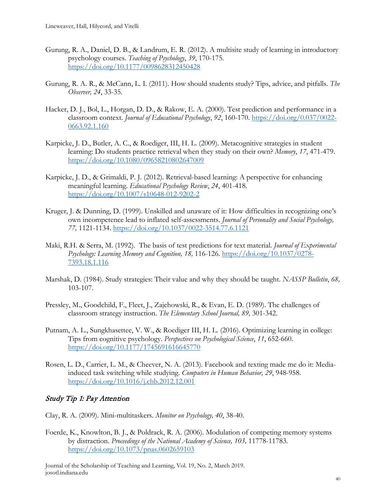- Gurung, R. A., Daniel, D. B., & Landrum, E. R. (2012). A multisite study of learning in introductory psychology courses. *Teaching of Psychology*, *39*, 170-175. <https://doi.org/10.1177/0098628312450428>
- Gurung, R. A. R., & McCann, L. I. (2011). How should students study? Tips, advice, and pitfalls. *The Observer, 24*, 33-35.
- Hacker, D. J., Bol, L., Horgan, D. D., & Rakow, E. A. (2000). Test prediction and performance in a classroom context. *Journal of Educational Psychology*, *92*, 160-170. [https://doi.org/0.037/0022-](https://doi.org/0.037/0022-0663.92.1.160) [0663.92.1.160](https://doi.org/0.037/0022-0663.92.1.160)
- Karpicke, J. D., Butler, A. C., & Roediger, III, H. L. (2009). Metacognitive strategies in student learning: Do students practice retrieval when they study on their own? *Memory*, *17*, 471-479. <https://doi.org/10.1080/09658210802647009>
- Karpicke, J. D., & Grimaldi, P. J. (2012). Retrieval-based learning: A perspective for enhancing meaningful learning. *Educational Psychology Review*, *24*, 401-418. <https://doi.org/10.1007/s10648-012-9202-2>
- Kruger, J. & Dunning, D. (1999). Unskilled and unaware of it: How difficulties in recognizing one's own incompetence lead to inflated self-assessments. *Journal of Personality and Social Psychology, 77,* 1121-1134.<https://doi.org/10.1037/0022-3514.77.6.1121>
- Maki, R.H. & Serra, M. (1992). The basis of test predictions for text material. *Journal of Experimental Psychology: Learning Memory and Cognition, 18,* 116-126. [https://doi.org/10.1037/0278-](https://doi.org/10.1037/0278-7393.18.1.116) [7393.18.1.116](https://doi.org/10.1037/0278-7393.18.1.116)
- Marshak, D. (1984). Study strategies: Their value and why they should be taught. *NASSP Bulletin*, *68,* 103-107.
- Pressley, M., Goodchild, F., Fleet, J., Zajchowski, R., & Evan, E. D. (1989). The challenges of classroom strategy instruction. *The Elementary School Journal, 89,* 301-342.
- Putnam, A. L., Sungkhasettee, V. W., & Roediger III, H. L. (2016). Optimizing learning in college: Tips from cognitive psychology. *Perspectives on Psychological Science*, *11*, 652-660. <https://doi.org/10.1177/1745691616645770>
- Rosen, L. D., Carrier, L. M., & Cheever, N. A. (2013). Facebook and texting made me do it: Mediainduced task switching while studying. *Computers in Human Behavior, 29*, 948-958. <https://doi.org/10.1016/j.chb.2012.12.001>

## Study Tip 1: Pay Attention

- Clay, R. A. (2009). Mini-multitaskers. *Monitor on Psychology, 40*, 38-40.
- Foerde, K., Knowlton, B. J., & Poldrack, R. A. (2006). Modulation of competing memory systems by distraction. *Proceedings of the National Academy of Science, 103,* 11778-11783. <https://doi.org/10.1073/pnas.0602659103>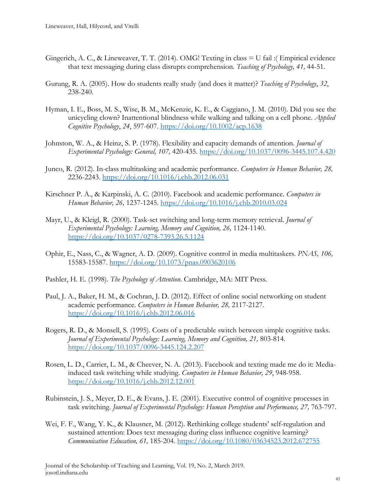- Gingerich, A. C., & Lineweaver, T. T. (2014). OMG! Texting in class = U fail :( Empirical evidence that text messaging during class disrupts comprehension*. Teaching of Psychology, 41,* 44-51.
- Gurung, R. A. (2005). How do students really study (and does it matter)? *Teaching of Psychology*, *32*, 238-240.
- Hyman, I. E., Boss, M. S., Wise, B. M., McKenzie, K. E., & Caggiano, J. M. (2010). Did you see the unicycling clown? Inattentional blindness while walking and talking on a cell phone. *Applied Cognitive Psychology*, *24*, 597-607.<https://doi.org/10.1002/acp.1638>
- Johnston, W. A., & Heinz, S. P. (1978). Flexibility and capacity demands of attention. *Journal of Experimental Psychology: General, 107,* 420-435.<https://doi.org/10.1037/0096-3445.107.4.420>
- Junco, R. (2012). In-class multitasking and academic performance. *Computers in Human Behavior, 28,*  2236-2243.<https://doi.org/10.1016/j.chb.2012.06.031>
- Kirschner P. A., & Karpinski, A. C. (2010). Facebook and academic performance. *Computers in Human Behavior, 26,* 1237-1245.<https://doi.org/10.1016/j.chb.2010.03.024>
- Mayr, U., & Kleigl, R. (2000). Task-set switching and long-term memory retrieval. *Journal of Experimental Psychology: Learning, Memory and Cognition, 26,* 1124-1140. <https://doi.org/10.1037/0278-7393.26.5.1124>
- Ophir, E., Nass, C., & Wagner, A. D. (2009). Cognitive control in media multitaskers. *PNAS, 106,*  15583-15587.<https://doi.org/10.1073/pnas.0903620106>
- Pashler, H. E. (1998). *The Psychology of Attention.* Cambridge, MA: MIT Press.
- Paul, J. A., Baker, H. M., & Cochran, J. D. (2012). Effect of online social networking on student academic performance. *Computers in Human Behavior, 28,* 2117-2127. <https://doi.org/10.1016/j.chb.2012.06.016>
- Rogers, R. D., & Monsell, S. (1995). Costs of a predictable switch between simple cognitive tasks. *Journal of Experimental Psychology: Learning, Memory and Cognition, 21,* 803-814. <https://doi.org/10.1037/0096-3445.124.2.207>
- Rosen, L. D., Carrier, L. M., & Cheever, N. A. (2013). Facebook and texting made me do it: Mediainduced task switching while studying. *Computers in Human Behavior, 29*, 948-958. <https://doi.org/10.1016/j.chb.2012.12.001>
- Rubinstein, J. S., Meyer, D. E., & Evans, J. E. (2001). Executive control of cognitive processes in task switching. *Journal of Experimental Psychology: Human Perception and Performance, 27, 763-797*.
- Wei, F. F., Wang, Y. K., & Klausner, M. (2012). Rethinking college students' self-regulation and sustained attention: Does text messaging during class influence cognitive learning? *Communication Education, 61,* 185-204.<https://doi.org/10.1080/03634523.2012.672755>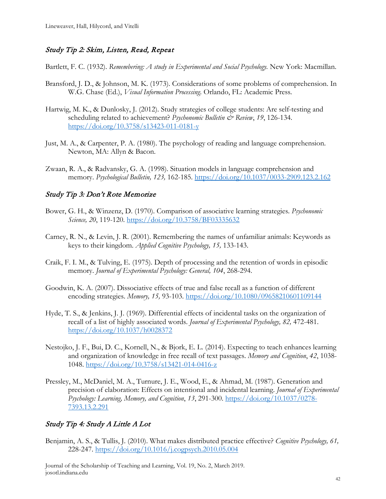## Study Tip 2: Skim, Listen, Read, Repeat

Bartlett, F. C. (1932). *Remembering: A study in Experimental and Social Psychology.* New York: Macmillan.

- Bransford, J. D., & Johnson, M. K. (1973). Considerations of some problems of comprehension. In W.G. Chase (Ed.), *Visual Information Processing*. Orlando, FL: Academic Press.
- Hartwig, M. K., & Dunlosky, J. (2012). Study strategies of college students: Are self-testing and scheduling related to achievement? *Psychonomic Bulletin & Review*, 19, 126-134. <https://doi.org/10.3758/s13423-011-0181-y>
- Just, M. A., & Carpenter, P. A. (1980). The psychology of reading and language comprehension. Newton, MA: Allyn & Bacon.
- Zwaan, R. A., & Radvansky, G. A. (1998). Situation models in language comprehension and memory. *Psychological Bulletin, 123,* 162-185.<https://doi.org/10.1037/0033-2909.123.2.162>

## Study Tip 3: Don't Rote Memorize

- Bower, G. H., & Winzenz, D. (1970). Comparison of associative learning strategies. *Psychonomic Science, 20*, 119-120.<https://doi.org/10.3758/BF03335632>
- Carney, R. N., & Levin, J. R. (2001). Remembering the names of unfamiliar animals: Keywords as keys to their kingdom. *Applied Cognitive Psychology, 15,* 133-143.
- Craik, F. I. M., & Tulving, E. (1975). Depth of processing and the retention of words in episodic memory. *Journal of Experimental Psychology: General, 104*, 268-294.
- Goodwin, K. A. (2007). Dissociative effects of true and false recall as a function of different encoding strategies. *Memory, 15,* 93-103.<https://doi.org/10.1080/09658210601109144>
- Hyde, T. S., & Jenkins, J. J. (1969). Differential effects of incidental tasks on the organization of recall of a list of highly associated words. *Journal of Experimental Psychology, 82,* 472-481. <https://doi.org/10.1037/h0028372>
- Nestojko, J. F., Bui, D. C., Kornell, N., & Bjork, E. L. (2014). Expecting to teach enhances learning and organization of knowledge in free recall of text passages. *Memory and Cognition*, *42*, 1038- 1048.<https://doi.org/10.3758/s13421-014-0416-z>
- Pressley, M., McDaniel, M. A., Turnure, J. E., Wood, E., & Ahmad, M. (1987). Generation and precision of elaboration: Effects on intentional and incidental learning. *Journal of Experimental Psychology: Learning, Memory, and Cognition*, *13*, 291-300. [https://doi.org/10.1037/0278-](https://doi.org/10.1037/0278-7393.13.2.291) [7393.13.2.291](https://doi.org/10.1037/0278-7393.13.2.291)

## Study Tip 4: Study A Little A Lot

Benjamin, A. S., & Tullis, J. (2010). What makes distributed practice effective? *Cognitive Psychology, 61,*  228-247.<https://doi.org/10.1016/j.cogpsych.2010.05.004>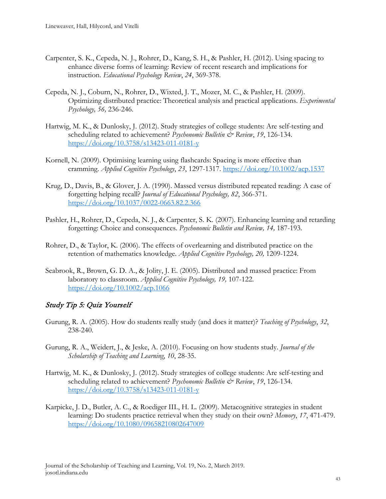- Carpenter, S. K., Cepeda, N. J., Rohrer, D., Kang, S. H., & Pashler, H. (2012). Using spacing to enhance diverse forms of learning: Review of recent research and implications for instruction. *Educational Psychology Review*, *24*, 369-378.
- Cepeda, N. J., Coburn, N., Rohrer, D., Wixted, J. T., Mozer, M. C., & Pashler, H. (2009). Optimizing distributed practice: Theoretical analysis and practical applications. *Experimental Psychology, 56,* 236-246.
- Hartwig, M. K., & Dunlosky, J. (2012). Study strategies of college students: Are self-testing and scheduling related to achievement? *Psychonomic Bulletin & Review*, 19, 126-134. <https://doi.org/10.3758/s13423-011-0181-y>
- Kornell, N. (2009). Optimising learning using flashcards: Spacing is more effective than cramming. *Applied Cognitive Psychology*, *23*, 1297-1317.<https://doi.org/10.1002/acp.1537>
- Krug, D., Davis, B., & Glover, J. A. (1990). Massed versus distributed repeated reading: A case of forgetting helping recall? *Journal of Educational Psychology, 82*, 366-371. <https://doi.org/10.1037/0022-0663.82.2.366>
- Pashler, H., Rohrer, D., Cepeda, N. J., & Carpenter, S. K. (2007). Enhancing learning and retarding forgetting: Choice and consequences. *Psychonomic Bulletin and Review, 14,* 187-193.
- Rohrer, D., & Taylor, K. (2006). The effects of overlearning and distributed practice on the retention of mathematics knowledge. *Applied Cognitive Psychology, 20,* 1209-1224.
- Seabrook, R., Brown, G. D. A., & Jolity, J. E. (2005). Distributed and massed practice: From laboratory to classroom. *Applied Cognitive Psychology, 19,* 107-122. <https://doi.org/10.1002/acp.1066>

### Study Tip 5: Quiz Yourself

- Gurung, R. A. (2005). How do students really study (and does it matter)? *Teaching of Psychology*, *32*, 238-240.
- Gurung, R. A., Weidert, J., & Jeske, A. (2010). Focusing on how students study. *Journal of the Scholarship of Teaching and Learning*, *10*, 28-35.
- Hartwig, M. K., & Dunlosky, J. (2012). Study strategies of college students: Are self-testing and scheduling related to achievement? *Psychonomic Bulletin & Review*, 19, 126-134. <https://doi.org/10.3758/s13423-011-0181-y>
- Karpicke, J. D., Butler, A. C., & Roediger III., H. L. (2009). Metacognitive strategies in student learning: Do students practice retrieval when they study on their own? *Memory*, *17*, 471-479. <https://doi.org/10.1080/09658210802647009>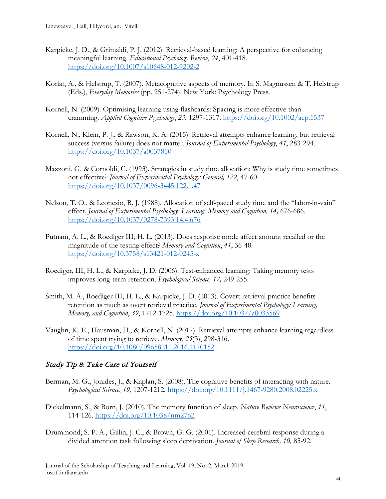- Karpicke, J. D., & Grimaldi, P. J. (2012). Retrieval-based learning: A perspective for enhancing meaningful learning. *Educational Psychology Review*, *24*, 401-418. <https://doi.org/10.1007/s10648-012-9202-2>
- Koriat, A., & Helstrup, T. (2007). Metacognitive aspects of memory. In S. Magnussen & T. Helstrup (Eds.), *Everyday Memories* (pp. 251-274). New York: Psychology Press.
- Kornell, N. (2009). Optimising learning using flashcards: Spacing is more effective than cramming. *Applied Cognitive Psychology*, *23*, 1297-1317.<https://doi.org/10.1002/acp.1537>
- Kornell, N., Klein, P. J., & Rawson, K. A. (2015). Retrieval attempts enhance learning, but retrieval success (versus failure) does not matter. *Journal of Experimental Psychology*, *41*, 283-294. <https://doi.org/10.1037/a0037850>
- Mazzoni, G. & Cornoldi, C. (1993). Strategies in study time allocation: Why is study time sometimes not effective? *Journal of Experimental Psychology: General, 122*, 47-60. <https://doi.org/10.1037/0096-3445.122.1.47>
- Nelson, T. O., & Leonesio, R. J. (1988). Allocation of self-paced study time and the "labor-in-vain" effect. *Journal of Experimental Psychology: Learning, Memory and Cognition, 14,* 676-686. <https://doi.org/10.1037/0278-7393.14.4.676>
- Putnam, A. L., & Roediger III, H. L. (2013). Does response mode affect amount recalled or the magnitude of the testing effect? *Memory and Cognition*, *41*, 36-48. <https://doi.org/10.3758/s13421-012-0245-x>
- Roediger, III, H. L., & Karpicke, J. D. (2006). Test-enhanced learning: Taking memory tests improves long-term retention. *Psychological Science, 17,* 249-255.
- Smith, M. A., Roediger III, H. L., & Karpicke, J. D. (2013). Covert retrieval practice benefits retention as much as overt retrieval practice. *Journal of Experimental Psychology: Learning, Memory, and Cognition*, *39*, 1712-1725.<https://doi.org/10.1037/a0033569>
- Vaughn, K. E., Hausman, H., & Kornell, N. (2017). Retrieval attempts enhance learning regardless of time spent trying to retrieve. *Memory*, *25*(3), 298-316. <https://doi.org/10.1080/09658211.2016.1170152>

### Study Tip 8: Take Care of Yourself

- Berman, M. G., Jonides, J., & Kaplan, S. (2008). The cognitive benefits of interacting with nature. *Psychological Science*, *19*, 1207-1212.<https://doi.org/10.1111/j.1467-9280.2008.02225.x>
- Diekelmann, S., & Born, J. (2010). The memory function of sleep. *Nature Reviews Neuroscience*, *11*, 114-126.<https://doi.org/10.1038/nm2762>
- Drummond, S. P. A., Gillin, J. C., & Brown, G. G. (2001). Increased cerebral response during a divided attention task following sleep deprivation. *Journal of Sleep Research, 10,* 85-92.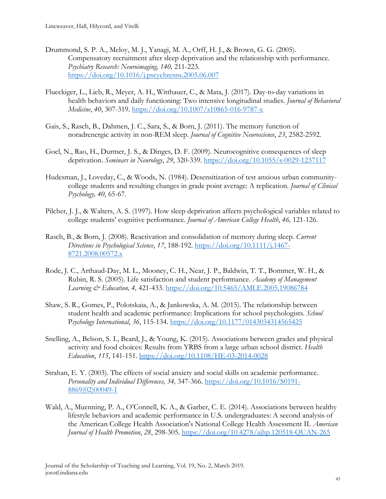- Drummond, S. P. A., Meloy, M. J., Yanagi, M. A., Orff, H. J., & Brown, G. G. (2005). Compensatory recruitment after sleep deprivation and the relationship with performance. *Psychiatry Research: Neuroimaging, 140,* 211-223. <https://doi.org/10.1016/j.pscychresns.2005.06.007>
- Flueckiger, L., Lieb, R., Meyer, A. H., Witthauer, C., & Mata, J. (2017). Day-to-day variations in health behaviors and daily functioning: Two intensive longitudinal studies. *Journal of Behavioral Medicine*, *40*, 307-319.<https://doi.org/10.1007/s10865-016-9787-x>
- Gais, S., Rasch, B., Dahmen, J. C., Sara, S., & Born, J. (2011). The memory function of noradrenergic activity in non-REM sleep. *Journal of Cognitive Neuroscience*, *23*, 2582-2592.
- Goel, N., Rao, H., Durmer, J. S., & Dinges, D. F. (2009). Neurocognitive consequences of sleep deprivation. *Seminars in Neurology*, *29*, 320-339.<https://doi.org/10.1055/s-0029-1237117>
- Hudesman, J., Loveday, C., & Woods, N. (1984). Desensitization of test anxious urban communitycollege students and resulting changes in grade point average: A replication. *Journal of Clinical Psychology, 40*, 65-67.
- Pilcher, J. J., & Walters, A. S. (1997). How sleep deprivation affects psychological variables related to college students' cognitive performance. *Journal of American College Health*, *46,* 121-126.
- Rasch, B., & Born, J. (2008). Reactivation and consolidation of memory during sleep. *Current Directions in Psychological Science*, *17*, 188-192. [https://doi.org/10.1111/j.1467-](https://doi.org/10.1111/j.1467-8721.2008.00572.x) [8721.2008.00572.x](https://doi.org/10.1111/j.1467-8721.2008.00572.x)
- Rode, J. C., Arthaud-Day, M. L., Mooney, C. H., Near, J. P., Baldwin, T. T., Bommer, W. H., & Rubin, R. S. (2005). Life satisfaction and student performance. *Academy of Management Learning & Education, 4,* 421-433.<https://doi.org/10.5465/AMLE.2005.19086784>
- Shaw, S. R., Gomes, P., Polotskaia, A., & Jankowska, A. M. (2015). The relationship between student health and academic performance: Implications for school psychologists. *School*  P*sychology International*, *36*, 115-134.<https://doi.org/10.1177/0143034314565425>
- Snelling, A., Belson, S. I., Beard, J., & Young, K. (2015). Associations between grades and physical activity and food choices: Results from YRBS from a large urban school district. *Health Education*, *115*, 141-151.<https://doi.org/10.1108/HE-03-2014-0028>
- Strahan, E. Y. (2003). The effects of social anxiety and social skills on academic performance. *Personality and Individual Differences, 34,* 347-366. [https://doi.org/10.1016/S0191-](https://doi.org/10.1016/S0191-8869(02)00049-1) [8869\(02\)00049-1](https://doi.org/10.1016/S0191-8869(02)00049-1)
- Wald, A., Muenning, P. A., O'Connell, K. A., & Garber, C. E. (2014). Associations between healthy lifestyle behaviors and academic performance in U.S. undergraduates: A second analysis of the American College Health Association's National College Health Assessment II. *American Journal of Health Promotion*, *28*, 298-305.<https://doi.org/10.4278/ajhp.120518-QUAN-265>